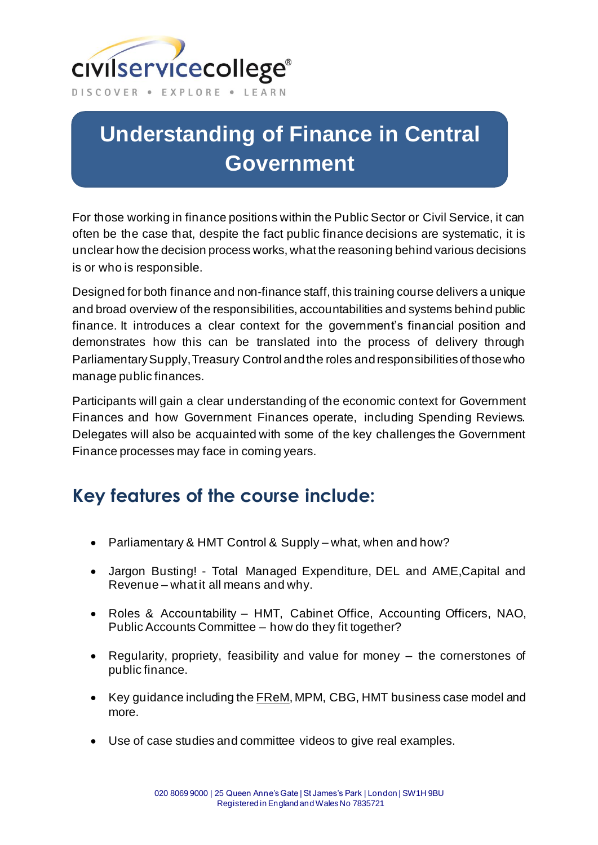

## **Understanding of Finance in Central Government**

For those working in finance positions within the Public Sector or Civil Service, it can often be the case that, despite the fact public finance decisions are systematic, it is unclear how the decision process works, what the reasoning behind various decisions is or who is responsible.

Designed for both finance and non-finance staff, this training course delivers a unique and broad overview of the responsibilities, accountabilities and systems behind public finance. It introduces a clear context for the government's financial position and demonstrates how this can be translated into the process of delivery through Parliamentary Supply, Treasury Control and the roles and responsibilities of those who manage public finances.

Participants will gain a clear understanding of the economic context for Government Finances and how Government Finances operate, including Spending Reviews. Delegates will also be acquainted with some of the key challenges the Government Finance processes may face in coming years.

## **Key features of the course include:**

- Parliamentary & HMT Control & Supply what, when and how?
- Jargon Busting! Total Managed Expenditure, DEL and AME,Capital and Revenue – what it all means and why.
- Roles & Accountability HMT, Cabinet Office, Accounting Officers, NAO, Public Accounts Committee – how do they fit together?
- Regularity, propriety, feasibility and value for money the cornerstones of public finance.
- Key guidance including the [FReM,](https://www.gov.uk/government/publications/government-financial-reporting-manual-2018-to-2019) MPM, CBG, HMT business case model and more.
- Use of case studies and committee videos to give real examples.